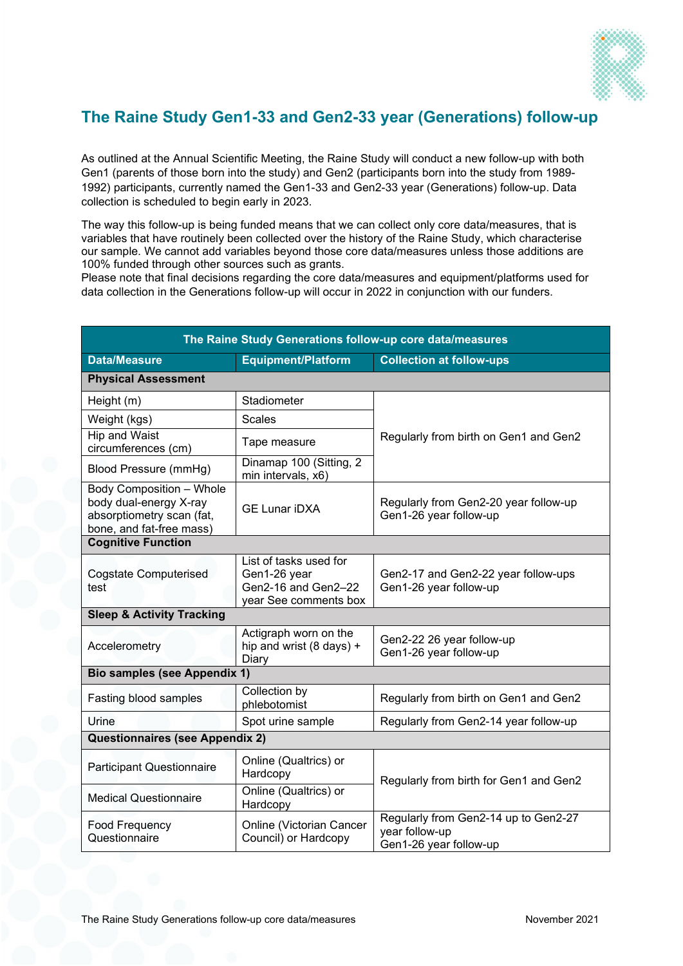

## **The Raine Study Gen1-33 and Gen2-33 year (Generations) follow-up**

As outlined at the Annual Scientific Meeting, the Raine Study will conduct a new follow-up with both Gen1 (parents of those born into the study) and Gen2 (participants born into the study from 1989- 1992) participants, currently named the Gen1-33 and Gen2-33 year (Generations) follow-up. Data collection is scheduled to begin early in 2023.

The way this follow-up is being funded means that we can collect only core data/measures, that is variables that have routinely been collected over the history of the Raine Study, which characterise our sample. We cannot add variables beyond those core data/measures unless those additions are 100% funded through other sources such as grants.

Please note that final decisions regarding the core data/measures and equipment/platforms used for data collection in the Generations follow-up will occur in 2022 in conjunction with our funders.

| The Raine Study Generations follow-up core data/measures                                                    |                                                                                        |                                                                                  |  |  |
|-------------------------------------------------------------------------------------------------------------|----------------------------------------------------------------------------------------|----------------------------------------------------------------------------------|--|--|
| <b>Data/Measure</b>                                                                                         | <b>Equipment/Platform</b>                                                              | <b>Collection at follow-ups</b>                                                  |  |  |
| <b>Physical Assessment</b>                                                                                  |                                                                                        |                                                                                  |  |  |
| Height (m)                                                                                                  | Stadiometer                                                                            |                                                                                  |  |  |
| Weight (kgs)                                                                                                | <b>Scales</b>                                                                          |                                                                                  |  |  |
| Hip and Waist<br>circumferences (cm)                                                                        | Tape measure                                                                           | Regularly from birth on Gen1 and Gen2                                            |  |  |
| Blood Pressure (mmHg)                                                                                       | Dinamap 100 (Sitting, 2)<br>min intervals, x6)                                         |                                                                                  |  |  |
| Body Composition - Whole<br>body dual-energy X-ray<br>absorptiometry scan (fat,<br>bone, and fat-free mass) | <b>GE Lunar iDXA</b>                                                                   | Regularly from Gen2-20 year follow-up<br>Gen1-26 year follow-up                  |  |  |
| <b>Cognitive Function</b>                                                                                   |                                                                                        |                                                                                  |  |  |
| <b>Cogstate Computerised</b><br>test                                                                        | List of tasks used for<br>Gen1-26 year<br>Gen2-16 and Gen2-22<br>year See comments box | Gen2-17 and Gen2-22 year follow-ups<br>Gen1-26 year follow-up                    |  |  |
| <b>Sleep &amp; Activity Tracking</b>                                                                        |                                                                                        |                                                                                  |  |  |
| Accelerometry                                                                                               | Actigraph worn on the<br>hip and wrist (8 days) +<br>Diary                             | Gen2-22 26 year follow-up<br>Gen1-26 year follow-up                              |  |  |
| <b>Bio samples (see Appendix 1)</b>                                                                         |                                                                                        |                                                                                  |  |  |
| Fasting blood samples                                                                                       | Collection by<br>phlebotomist                                                          | Regularly from birth on Gen1 and Gen2                                            |  |  |
| Urine                                                                                                       | Spot urine sample                                                                      | Regularly from Gen2-14 year follow-up                                            |  |  |
| Questionnaires (see Appendix 2)                                                                             |                                                                                        |                                                                                  |  |  |
| <b>Participant Questionnaire</b>                                                                            | Online (Qualtrics) or<br>Hardcopy                                                      | Regularly from birth for Gen1 and Gen2                                           |  |  |
| <b>Medical Questionnaire</b>                                                                                | Online (Qualtrics) or<br>Hardcopy                                                      |                                                                                  |  |  |
| <b>Food Frequency</b><br>Questionnaire                                                                      | Online (Victorian Cancer<br>Council) or Hardcopy                                       | Regularly from Gen2-14 up to Gen2-27<br>year follow-up<br>Gen1-26 year follow-up |  |  |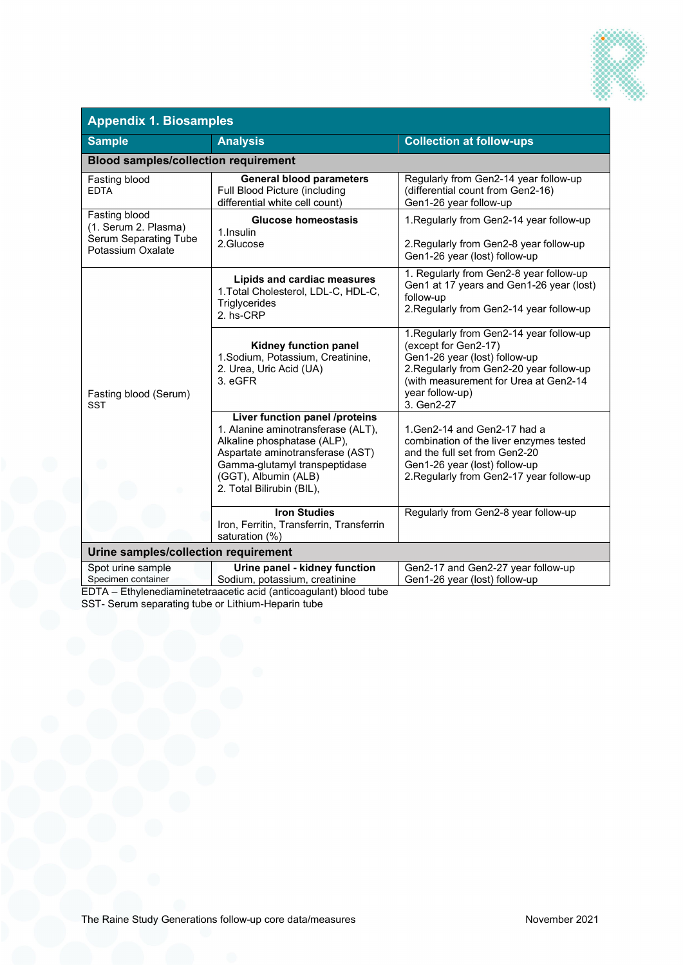

| <b>Appendix 1. Biosamples</b>                                                              |                                                                                                                                                                                                                               |                                                                                                                                                                                                                         |  |
|--------------------------------------------------------------------------------------------|-------------------------------------------------------------------------------------------------------------------------------------------------------------------------------------------------------------------------------|-------------------------------------------------------------------------------------------------------------------------------------------------------------------------------------------------------------------------|--|
| <b>Sample</b>                                                                              | <b>Analysis</b>                                                                                                                                                                                                               | <b>Collection at follow-ups</b>                                                                                                                                                                                         |  |
| <b>Blood samples/collection requirement</b>                                                |                                                                                                                                                                                                                               |                                                                                                                                                                                                                         |  |
| Fasting blood<br><b>EDTA</b>                                                               | <b>General blood parameters</b><br>Full Blood Picture (including<br>differential white cell count)                                                                                                                            | Regularly from Gen2-14 year follow-up<br>(differential count from Gen2-16)<br>Gen1-26 year follow-up                                                                                                                    |  |
| Fasting blood<br>(1. Serum 2. Plasma)<br><b>Serum Separating Tube</b><br>Potassium Oxalate | <b>Glucose homeostasis</b><br>1. Insulin<br>2.Glucose                                                                                                                                                                         | 1. Regularly from Gen2-14 year follow-up<br>2. Regularly from Gen2-8 year follow-up<br>Gen1-26 year (lost) follow-up                                                                                                    |  |
| Fasting blood (Serum)<br>SST                                                               | Lipids and cardiac measures<br>1. Total Cholesterol, LDL-C, HDL-C,<br>Triglycerides<br>2. hs-CRP                                                                                                                              | 1. Regularly from Gen2-8 year follow-up<br>Gen1 at 17 years and Gen1-26 year (lost)<br>follow-up<br>2. Regularly from Gen2-14 year follow-up                                                                            |  |
|                                                                                            | Kidney function panel<br>1.Sodium, Potassium, Creatinine,<br>2. Urea, Uric Acid (UA)<br>3. eGFR                                                                                                                               | 1. Regularly from Gen2-14 year follow-up<br>(except for Gen2-17)<br>Gen1-26 year (lost) follow-up<br>2. Regularly from Gen2-20 year follow-up<br>(with measurement for Urea at Gen2-14<br>year follow-up)<br>3. Gen2-27 |  |
|                                                                                            | Liver function panel /proteins<br>1. Alanine aminotransferase (ALT),<br>Alkaline phosphatase (ALP),<br>Aspartate aminotransferase (AST)<br>Gamma-glutamyl transpeptidase<br>(GGT), Albumin (ALB)<br>2. Total Bilirubin (BIL), | 1. Gen 2-14 and Gen 2-17 had a<br>combination of the liver enzymes tested<br>and the full set from Gen2-20<br>Gen1-26 year (lost) follow-up<br>2. Regularly from Gen2-17 year follow-up                                 |  |
|                                                                                            | <b>Iron Studies</b><br>Iron, Ferritin, Transferrin, Transferrin<br>saturation (%)                                                                                                                                             | Regularly from Gen2-8 year follow-up                                                                                                                                                                                    |  |
| Urine samples/collection requirement                                                       |                                                                                                                                                                                                                               |                                                                                                                                                                                                                         |  |
| Spot urine sample<br>Specimen container                                                    | Urine panel - kidney function<br>Sodium, potassium, creatinine                                                                                                                                                                | Gen2-17 and Gen2-27 year follow-up<br>Gen1-26 year (lost) follow-up                                                                                                                                                     |  |

EDTA – Ethylenediaminetetraacetic acid (anticoagulant) blood tube SST- Serum separating tube or Lithium-Heparin tube